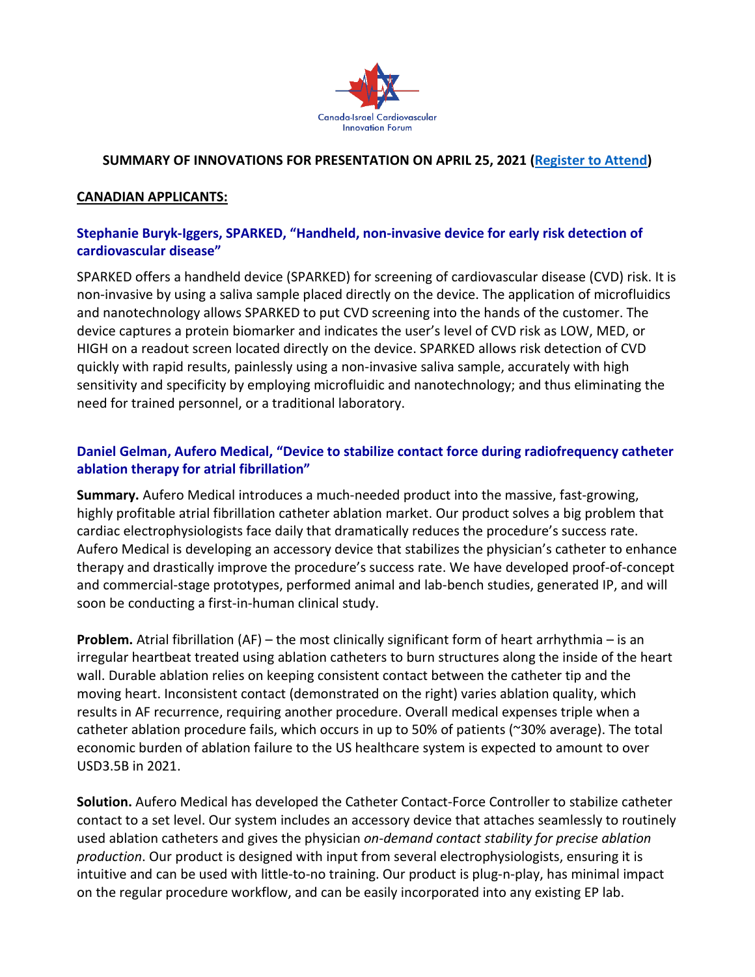

#### **SUMMARY OF INNOVATIONS FOR PRESENTATION ON APRIL 25, 2021 [\(Register to Attend\)](https://www.surveymonkey.com/r/CICI-Registration)**

#### **CANADIAN APPLICANTS:**

## **Stephanie Buryk-Iggers, SPARKED, "Handheld, non-invasive device for early risk detection of cardiovascular disease"**

SPARKED offers a handheld device (SPARKED) for screening of cardiovascular disease (CVD) risk. It is non-invasive by using a saliva sample placed directly on the device. The application of microfluidics and nanotechnology allows SPARKED to put CVD screening into the hands of the customer. The device captures a protein biomarker and indicates the user's level of CVD risk as LOW, MED, or HIGH on a readout screen located directly on the device. SPARKED allows risk detection of CVD quickly with rapid results, painlessly using a non-invasive saliva sample, accurately with high sensitivity and specificity by employing microfluidic and nanotechnology; and thus eliminating the need for trained personnel, or a traditional laboratory.

# **Daniel Gelman, Aufero Medical, "Device to stabilize contact force during radiofrequency catheter ablation therapy for atrial fibrillation"**

**Summary.** Aufero Medical introduces a much-needed product into the massive, fast-growing, highly profitable atrial fibrillation catheter ablation market. Our product solves a big problem that cardiac electrophysiologists face daily that dramatically reduces the procedure's success rate. Aufero Medical is developing an accessory device that stabilizes the physician's catheter to enhance therapy and drastically improve the procedure's success rate. We have developed proof-of-concept and commercial-stage prototypes, performed animal and lab-bench studies, generated IP, and will soon be conducting a first-in-human clinical study.

**Problem.** Atrial fibrillation (AF) – the most clinically significant form of heart arrhythmia – is an irregular heartbeat treated using ablation catheters to burn structures along the inside of the heart wall. Durable ablation relies on keeping consistent contact between the catheter tip and the moving heart. Inconsistent contact (demonstrated on the right) varies ablation quality, which results in AF recurrence, requiring another procedure. Overall medical expenses triple when a catheter ablation procedure fails, which occurs in up to 50% of patients (~30% average). The total economic burden of ablation failure to the US healthcare system is expected to amount to over USD3.5B in 2021.

**Solution.** Aufero Medical has developed the Catheter Contact-Force Controller to stabilize catheter contact to a set level. Our system includes an accessory device that attaches seamlessly to routinely used ablation catheters and gives the physician *on-demand contact stability for precise ablation production*. Our product is designed with input from several electrophysiologists, ensuring it is intuitive and can be used with little-to-no training. Our product is plug-n-play, has minimal impact on the regular procedure workflow, and can be easily incorporated into any existing EP lab.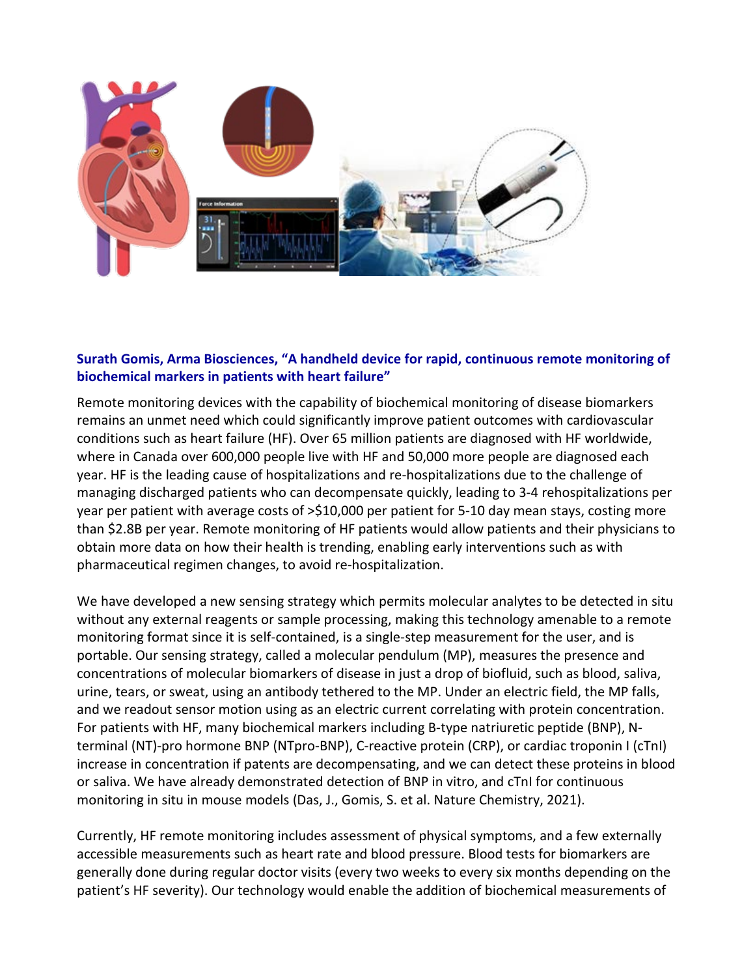

# **Surath Gomis, Arma Biosciences, "A handheld device for rapid, continuous remote monitoring of biochemical markers in patients with heart failure"**

Remote monitoring devices with the capability of biochemical monitoring of disease biomarkers remains an unmet need which could significantly improve patient outcomes with cardiovascular conditions such as heart failure (HF). Over 65 million patients are diagnosed with HF worldwide, where in Canada over 600,000 people live with HF and 50,000 more people are diagnosed each year. HF is the leading cause of hospitalizations and re-hospitalizations due to the challenge of managing discharged patients who can decompensate quickly, leading to 3-4 rehospitalizations per year per patient with average costs of >\$10,000 per patient for 5-10 day mean stays, costing more than \$2.8B per year. Remote monitoring of HF patients would allow patients and their physicians to obtain more data on how their health is trending, enabling early interventions such as with pharmaceutical regimen changes, to avoid re-hospitalization.

We have developed a new sensing strategy which permits molecular analytes to be detected in situ without any external reagents or sample processing, making this technology amenable to a remote monitoring format since it is self-contained, is a single-step measurement for the user, and is portable. Our sensing strategy, called a molecular pendulum (MP), measures the presence and concentrations of molecular biomarkers of disease in just a drop of biofluid, such as blood, saliva, urine, tears, or sweat, using an antibody tethered to the MP. Under an electric field, the MP falls, and we readout sensor motion using as an electric current correlating with protein concentration. For patients with HF, many biochemical markers including B-type natriuretic peptide (BNP), Nterminal (NT)-pro hormone BNP (NTpro-BNP), C-reactive protein (CRP), or cardiac troponin I (cTnI) increase in concentration if patents are decompensating, and we can detect these proteins in blood or saliva. We have already demonstrated detection of BNP in vitro, and cTnI for continuous monitoring in situ in mouse models (Das, J., Gomis, S. et al. Nature Chemistry, 2021).

Currently, HF remote monitoring includes assessment of physical symptoms, and a few externally accessible measurements such as heart rate and blood pressure. Blood tests for biomarkers are generally done during regular doctor visits (every two weeks to every six months depending on the patient's HF severity). Our technology would enable the addition of biochemical measurements of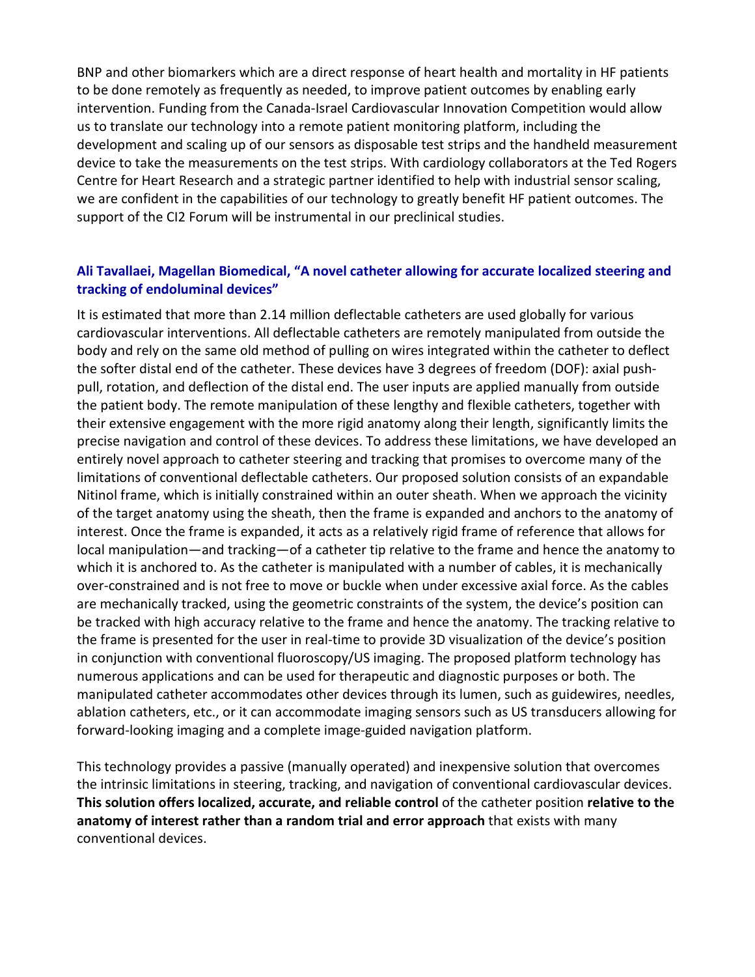BNP and other biomarkers which are a direct response of heart health and mortality in HF patients to be done remotely as frequently as needed, to improve patient outcomes by enabling early intervention. Funding from the Canada-Israel Cardiovascular Innovation Competition would allow us to translate our technology into a remote patient monitoring platform, including the development and scaling up of our sensors as disposable test strips and the handheld measurement device to take the measurements on the test strips. With cardiology collaborators at the Ted Rogers Centre for Heart Research and a strategic partner identified to help with industrial sensor scaling, we are confident in the capabilities of our technology to greatly benefit HF patient outcomes. The support of the CI2 Forum will be instrumental in our preclinical studies.

### **Ali Tavallaei, Magellan Biomedical, "A novel catheter allowing for accurate localized steering and tracking of endoluminal devices"**

It is estimated that more than 2.14 million deflectable catheters are used globally for various cardiovascular interventions. All deflectable catheters are remotely manipulated from outside the body and rely on the same old method of pulling on wires integrated within the catheter to deflect the softer distal end of the catheter. These devices have 3 degrees of freedom (DOF): axial pushpull, rotation, and deflection of the distal end. The user inputs are applied manually from outside the patient body. The remote manipulation of these lengthy and flexible catheters, together with their extensive engagement with the more rigid anatomy along their length, significantly limits the precise navigation and control of these devices. To address these limitations, we have developed an entirely novel approach to catheter steering and tracking that promises to overcome many of the limitations of conventional deflectable catheters. Our proposed solution consists of an expandable Nitinol frame, which is initially constrained within an outer sheath. When we approach the vicinity of the target anatomy using the sheath, then the frame is expanded and anchors to the anatomy of interest. Once the frame is expanded, it acts as a relatively rigid frame of reference that allows for local manipulation—and tracking—of a catheter tip relative to the frame and hence the anatomy to which it is anchored to. As the catheter is manipulated with a number of cables, it is mechanically over-constrained and is not free to move or buckle when under excessive axial force. As the cables are mechanically tracked, using the geometric constraints of the system, the device's position can be tracked with high accuracy relative to the frame and hence the anatomy. The tracking relative to the frame is presented for the user in real-time to provide 3D visualization of the device's position in conjunction with conventional fluoroscopy/US imaging. The proposed platform technology has numerous applications and can be used for therapeutic and diagnostic purposes or both. The manipulated catheter accommodates other devices through its lumen, such as guidewires, needles, ablation catheters, etc., or it can accommodate imaging sensors such as US transducers allowing for forward-looking imaging and a complete image-guided navigation platform.

This technology provides a passive (manually operated) and inexpensive solution that overcomes the intrinsic limitations in steering, tracking, and navigation of conventional cardiovascular devices. **This solution offers localized, accurate, and reliable control** of the catheter position **relative to the anatomy of interest rather than a random trial and error approach** that exists with many conventional devices.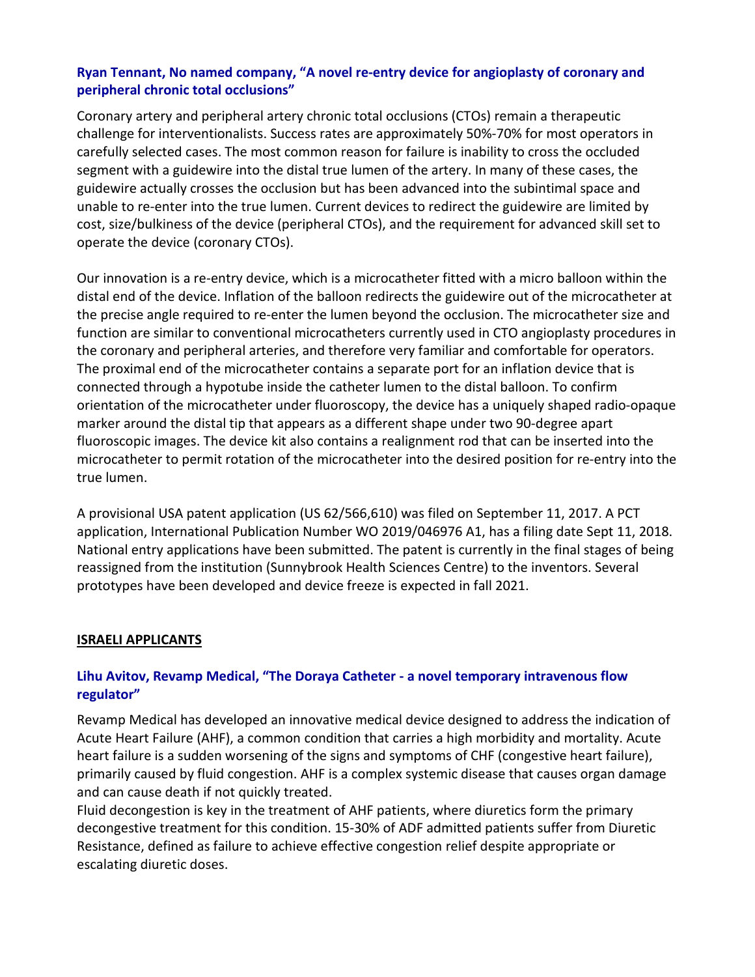# **Ryan Tennant, No named company, "A novel re-entry device for angioplasty of coronary and peripheral chronic total occlusions"**

Coronary artery and peripheral artery chronic total occlusions (CTOs) remain a therapeutic challenge for interventionalists. Success rates are approximately 50%-70% for most operators in carefully selected cases. The most common reason for failure is inability to cross the occluded segment with a guidewire into the distal true lumen of the artery. In many of these cases, the guidewire actually crosses the occlusion but has been advanced into the subintimal space and unable to re-enter into the true lumen. Current devices to redirect the guidewire are limited by cost, size/bulkiness of the device (peripheral CTOs), and the requirement for advanced skill set to operate the device (coronary CTOs).

Our innovation is a re-entry device, which is a microcatheter fitted with a micro balloon within the distal end of the device. Inflation of the balloon redirects the guidewire out of the microcatheter at the precise angle required to re-enter the lumen beyond the occlusion. The microcatheter size and function are similar to conventional microcatheters currently used in CTO angioplasty procedures in the coronary and peripheral arteries, and therefore very familiar and comfortable for operators. The proximal end of the microcatheter contains a separate port for an inflation device that is connected through a hypotube inside the catheter lumen to the distal balloon. To confirm orientation of the microcatheter under fluoroscopy, the device has a uniquely shaped radio-opaque marker around the distal tip that appears as a different shape under two 90-degree apart fluoroscopic images. The device kit also contains a realignment rod that can be inserted into the microcatheter to permit rotation of the microcatheter into the desired position for re-entry into the true lumen.

A provisional USA patent application (US 62/566,610) was filed on September 11, 2017. A PCT application, International Publication Number WO 2019/046976 A1, has a filing date Sept 11, 2018. National entry applications have been submitted. The patent is currently in the final stages of being reassigned from the institution (Sunnybrook Health Sciences Centre) to the inventors. Several prototypes have been developed and device freeze is expected in fall 2021.

#### **ISRAELI APPLICANTS**

## **Lihu Avitov, Revamp Medical, "The Doraya Catheter - a novel temporary intravenous flow regulator"**

Revamp Medical has developed an innovative medical device designed to address the indication of Acute Heart Failure (AHF), a common condition that carries a high morbidity and mortality. Acute heart failure is a sudden worsening of the signs and symptoms of CHF (congestive heart failure), primarily caused by fluid congestion. AHF is a complex systemic disease that causes organ damage and can cause death if not quickly treated.

Fluid decongestion is key in the treatment of AHF patients, where diuretics form the primary decongestive treatment for this condition. 15-30% of ADF admitted patients suffer from Diuretic Resistance, defined as failure to achieve effective congestion relief despite appropriate or escalating diuretic doses.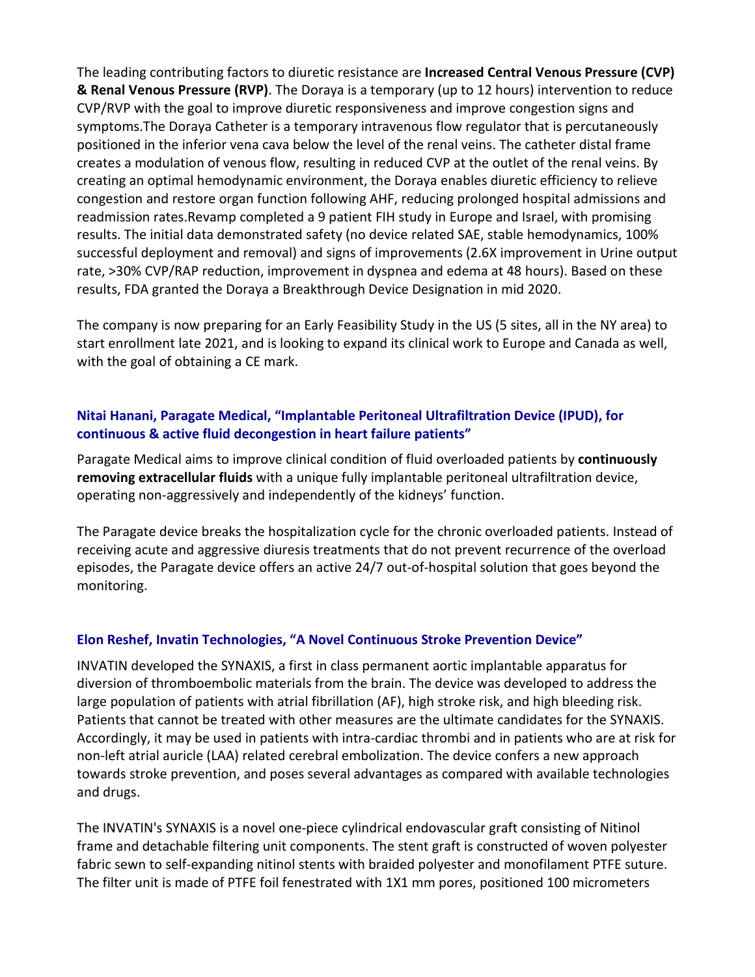The leading contributing factors to diuretic resistance are **Increased Central Venous Pressure (CVP) & Renal Venous Pressure (RVP)**. The Doraya is a temporary (up to 12 hours) intervention to reduce CVP/RVP with the goal to improve diuretic responsiveness and improve congestion signs and symptoms.The Doraya Catheter is a temporary intravenous flow regulator that is percutaneously positioned in the inferior vena cava below the level of the renal veins. The catheter distal frame creates a modulation of venous flow, resulting in reduced CVP at the outlet of the renal veins. By creating an optimal hemodynamic environment, the Doraya enables diuretic efficiency to relieve congestion and restore organ function following AHF, reducing prolonged hospital admissions and readmission rates.Revamp completed a 9 patient FIH study in Europe and Israel, with promising results. The initial data demonstrated safety (no device related SAE, stable hemodynamics, 100% successful deployment and removal) and signs of improvements (2.6X improvement in Urine output rate, >30% CVP/RAP reduction, improvement in dyspnea and edema at 48 hours). Based on these results, FDA granted the Doraya a Breakthrough Device Designation in mid 2020.

The company is now preparing for an Early Feasibility Study in the US (5 sites, all in the NY area) to start enrollment late 2021, and is looking to expand its clinical work to Europe and Canada as well, with the goal of obtaining a CE mark.

# **Nitai Hanani, Paragate Medical, "Implantable Peritoneal Ultrafiltration Device (IPUD), for continuous & active fluid decongestion in heart failure patients"**

Paragate Medical aims to improve clinical condition of fluid overloaded patients by **continuously removing extracellular fluids** with a unique fully implantable peritoneal ultrafiltration device, operating non-aggressively and independently of the kidneys' function.

The Paragate device breaks the hospitalization cycle for the chronic overloaded patients. Instead of receiving acute and aggressive diuresis treatments that do not prevent recurrence of the overload episodes, the Paragate device offers an active 24/7 out-of-hospital solution that goes beyond the monitoring.

## **Elon Reshef, Invatin Technologies, "A Novel Continuous Stroke Prevention Device"**

INVATIN developed the SYNAXIS, a first in class permanent aortic implantable apparatus for diversion of thromboembolic materials from the brain. The device was developed to address the large population of patients with atrial fibrillation (AF), high stroke risk, and high bleeding risk. Patients that cannot be treated with other measures are the ultimate candidates for the SYNAXIS. Accordingly, it may be used in patients with intra-cardiac thrombi and in patients who are at risk for non-left atrial auricle (LAA) related cerebral embolization. The device confers a new approach towards stroke prevention, and poses several advantages as compared with available technologies and drugs.

The INVATIN's SYNAXIS is a novel one-piece cylindrical endovascular graft consisting of Nitinol frame and detachable filtering unit components. The stent graft is constructed of woven polyester fabric sewn to self-expanding nitinol stents with braided polyester and monofilament PTFE suture. The filter unit is made of PTFE foil fenestrated with 1X1 mm pores, positioned 100 micrometers